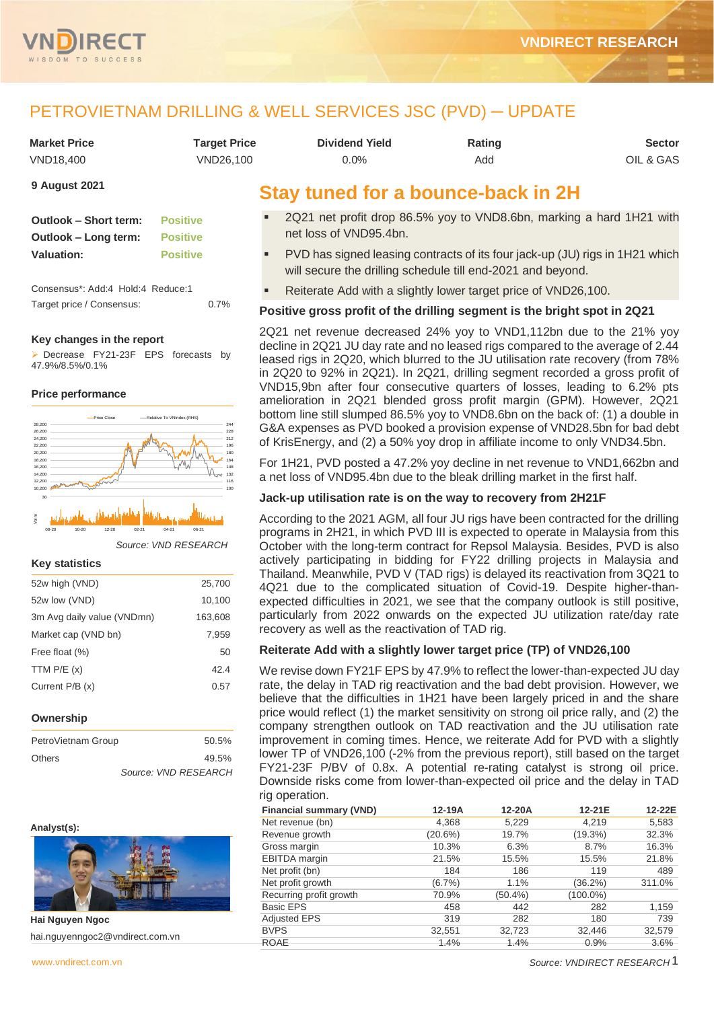

# PETROVIETNAM DRILLING & WELL SERVICES JSC (PVD) ─ UPDATE

| <b>Market Price</b> | Target Price | <b>Dividend Yield</b> | Rating | <b>Sector</b> |
|---------------------|--------------|-----------------------|--------|---------------|
| VND18.400           | VND26.100    | $0.0\%$               | Add    | OIL & GAS     |

#### **9 August 2021**

| Outlook – Short term: | <b>Positive</b> |
|-----------------------|-----------------|
| Outlook - Long term:  | <b>Positive</b> |
| Valuation:            | <b>Positive</b> |

| Consensus*: Add:4 Hold:4 Reduce:1 |  |      |
|-----------------------------------|--|------|
| Target price / Consensus:         |  | 0.7% |

#### **Key changes in the report**

➢ Decrease FY21-23F EPS forecasts by 47.9%/8.5%/0.1%

#### **Price performance**



*Source: VND RESEARCH*

#### **Key statistics**

| 52w high (VND)             | 25,700  |
|----------------------------|---------|
| 52w low (VND)              | 10,100  |
| 3m Avg daily value (VNDmn) | 163,608 |
| Market cap (VND bn)        | 7,959   |
| Free float (%)             | 50      |
| TTM $P/E(x)$               | 42.4    |
| Current P/B (x)            | 0.57    |
|                            |         |
| <b>Ourseyskin</b>          |         |

| Ownership |
|-----------|
|-----------|

| PetroVietnam Group | 50.5%                |
|--------------------|----------------------|
| <b>Others</b>      | 49.5%                |
|                    | Source: VND RESEARCH |

#### **Analyst(s):**



**Hai Nguyen Ngoc** hai.nguyenngoc2@vndirect.com.vn

## **Stay tuned for a bounce-back in 2H**

- 2Q21 net profit drop 86.5% yoy to VND8.6bn, marking a hard 1H21 with net loss of VND95.4bn.
- PVD has signed leasing contracts of its four jack-up (JU) rigs in 1H21 which will secure the drilling schedule till end-2021 and beyond.
- Reiterate Add with a slightly lower target price of VND26,100.

#### **Positive gross profit of the drilling segment is the bright spot in 2Q21**

2Q21 net revenue decreased 24% yoy to VND1,112bn due to the 21% yoy decline in 2Q21 JU day rate and no leased rigs compared to the average of 2.44 leased rigs in 2Q20, which blurred to the JU utilisation rate recovery (from 78% in 2Q20 to 92% in 2Q21). In 2Q21, drilling segment recorded a gross profit of VND15,9bn after four consecutive quarters of losses, leading to 6.2% pts amelioration in 2Q21 blended gross profit margin (GPM). However, 2Q21 bottom line still slumped 86.5% yoy to VND8.6bn on the back of: (1) a double in G&A expenses as PVD booked a provision expense of VND28.5bn for bad debt of KrisEnergy, and (2) a 50% yoy drop in affiliate income to only VND34.5bn.

For 1H21, PVD posted a 47.2% yoy decline in net revenue to VND1,662bn and a net loss of VND95.4bn due to the bleak drilling market in the first half.

#### **Jack-up utilisation rate is on the way to recovery from 2H21F**

According to the 2021 AGM, all four JU rigs have been contracted for the drilling programs in 2H21, in which PVD III is expected to operate in Malaysia from this October with the long-term contract for Repsol Malaysia. Besides, PVD is also actively participating in bidding for FY22 drilling projects in Malaysia and Thailand. Meanwhile, PVD V (TAD rigs) is delayed its reactivation from 3Q21 to 4Q21 due to the complicated situation of Covid-19. Despite higher-thanexpected difficulties in 2021, we see that the company outlook is still positive, particularly from 2022 onwards on the expected JU utilization rate/day rate recovery as well as the reactivation of TAD rig.

#### **Reiterate Add with a slightly lower target price (TP) of VND26,100**

We revise down FY21F EPS by 47.9% to reflect the lower-than-expected JU day rate, the delay in TAD rig reactivation and the bad debt provision. However, we believe that the difficulties in 1H21 have been largely priced in and the share price would reflect (1) the market sensitivity on strong oil price rally, and (2) the company strengthen outlook on TAD reactivation and the JU utilisation rate improvement in coming times. Hence, we reiterate Add for PVD with a slightly lower TP of VND26,100 (-2% from the previous report), still based on the target FY21-23F P/BV of 0.8x. A potential re-rating catalyst is strong oil price. Downside risks come from lower-than-expected oil price and the delay in TAD rig operation.

| <b>Financial summary (VND)</b> | 12-19A     | 12-20A     | 12-21E      | 12-22E |
|--------------------------------|------------|------------|-------------|--------|
| Net revenue (bn)               | 4,368      | 5,229      | 4,219       | 5,583  |
| Revenue growth                 | $(20.6\%)$ | 19.7%      | $(19.3\%)$  | 32.3%  |
| Gross margin                   | 10.3%      | 6.3%       | 8.7%        | 16.3%  |
| <b>EBITDA</b> margin           | 21.5%      | 15.5%      | 15.5%       | 21.8%  |
| Net profit (bn)                | 184        | 186        | 119         | 489    |
| Net profit growth              | (6.7%)     | 1.1%       | $(36.2\%)$  | 311.0% |
| Recurring profit growth        | 70.9%      | $(50.4\%)$ | $(100.0\%)$ |        |
| <b>Basic EPS</b>               | 458        | 442        | 282         | 1,159  |
| <b>Adjusted EPS</b>            | 319        | 282        | 180         | 739    |
| <b>BVPS</b>                    | 32,551     | 32,723     | 32,446      | 32,579 |
| <b>ROAE</b>                    | 1.4%       | 1.4%       | 0.9%        | 3.6%   |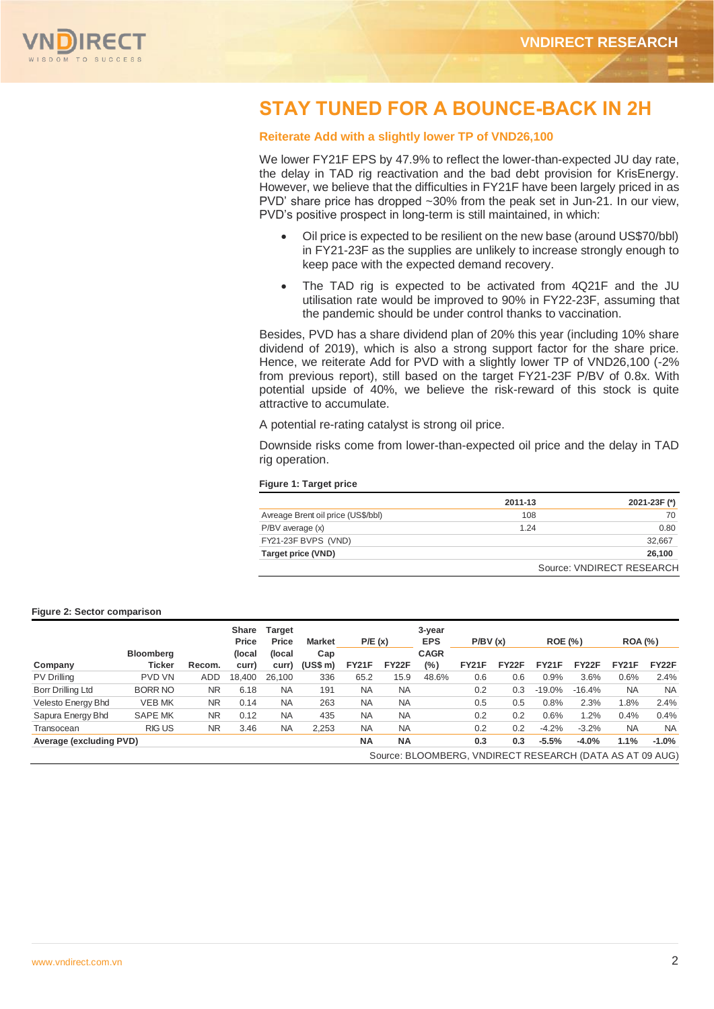

# **STAY TUNED FOR A BOUNCE-BACK IN 2H**

#### **Reiterate Add with a slightly lower TP of VND26,100**

We lower FY21F EPS by 47.9% to reflect the lower-than-expected JU day rate, the delay in TAD rig reactivation and the bad debt provision for KrisEnergy. However, we believe that the difficulties in FY21F have been largely priced in as PVD' share price has dropped ~30% from the peak set in Jun-21. In our view, PVD's positive prospect in long-term is still maintained, in which:

- Oil price is expected to be resilient on the new base (around US\$70/bbl) in FY21-23F as the supplies are unlikely to increase strongly enough to keep pace with the expected demand recovery.
- The TAD rig is expected to be activated from 4Q21F and the JU utilisation rate would be improved to 90% in FY22-23F, assuming that the pandemic should be under control thanks to vaccination.

Besides, PVD has a share dividend plan of 20% this year (including 10% share dividend of 2019), which is also a strong support factor for the share price. Hence, we reiterate Add for PVD with a slightly lower TP of VND26,100 (-2% from previous report), still based on the target FY21-23F P/BV of 0.8x. With potential upside of 40%, we believe the risk-reward of this stock is quite attractive to accumulate.

A potential re-rating catalyst is strong oil price.

Downside risks come from lower-than-expected oil price and the delay in TAD rig operation.

#### **Figure 1: Target price**

|                                    | 2011-13 | 2021-23F (*)              |
|------------------------------------|---------|---------------------------|
| Avreage Brent oil price (US\$/bbl) | 108     | 70                        |
| $P/BV$ average $(x)$               | 1 2 4   | 0.80                      |
| FY21-23F BVPS (VND)                |         | 32.667                    |
| Target price (VND)                 |         | 26.100                    |
|                                    |         | Source: VNDIRECT RESEARCH |

#### **Figure 2: Sector comparison**

|                         |                  |           | <b>Share</b><br>Price | <b>Target</b><br>Price | <b>Market</b> | P/E(x)       |           | 3-year<br><b>EPS</b>                                     | P/BV(x)      |                    | <b>ROE</b> (%) |              | <b>ROA</b> (%) |           |
|-------------------------|------------------|-----------|-----------------------|------------------------|---------------|--------------|-----------|----------------------------------------------------------|--------------|--------------------|----------------|--------------|----------------|-----------|
|                         | <b>Bloomberg</b> |           | (local)               | (local                 | Cap           |              |           | <b>CAGR</b>                                              |              |                    |                |              |                |           |
| Company                 | <b>Ticker</b>    | Recom.    | curr)                 | curr)                  | (US\$ m)      | <b>FY21F</b> | FY22F     | (%)                                                      | <b>FY21F</b> | FY <sub>22</sub> F | <b>FY21F</b>   | <b>FY22F</b> | <b>FY21F</b>   | FY22F     |
| PV Drilling             | <b>PVD VN</b>    | ADD       | 18.400                | 26,100                 | 336           | 65.2         | 15.9      | 48.6%                                                    | 0.6          | 0.6                | 0.9%           | 3.6%         | 0.6%           | 2.4%      |
| Borr Drilling Ltd       | <b>BORR NO</b>   | <b>NR</b> | 6.18                  | <b>NA</b>              | 191           | <b>NA</b>    | <b>NA</b> |                                                          | 0.2          | 0.3                | $-19.0\%$      | $-16.4%$     | <b>NA</b>      | <b>NA</b> |
| Velesto Energy Bhd      | <b>VEB MK</b>    | <b>NR</b> | 0.14                  | <b>NA</b>              | 263           | <b>NA</b>    | <b>NA</b> |                                                          | 0.5          | 0.5                | 0.8%           | 2.3%         | .8%            | 2.4%      |
| Sapura Energy Bhd       | <b>SAPE MK</b>   | <b>NR</b> | 0.12                  | <b>NA</b>              | 435           | <b>NA</b>    | <b>NA</b> |                                                          | 0.2          | 0.2                | 0.6%           | 1.2%         | 0.4%           | 0.4%      |
| Transocean              | <b>RIGUS</b>     | <b>NR</b> | 3.46                  | <b>NA</b>              | 2,253         | <b>NA</b>    | <b>NA</b> |                                                          | 0.2          | 0.2                | $-4.2%$        | $-3.2%$      | <b>NA</b>      | <b>NA</b> |
| Average (excluding PVD) |                  |           |                       |                        |               | <b>NA</b>    | <b>NA</b> |                                                          | 0.3          | 0.3                | $-5.5%$        | $-4.0%$      | 1.1%           | $-1.0%$   |
|                         |                  |           |                       |                        |               |              |           | Source: BLOOMBERG, VNDIRECT RESEARCH (DATA AS AT 09 AUG) |              |                    |                |              |                |           |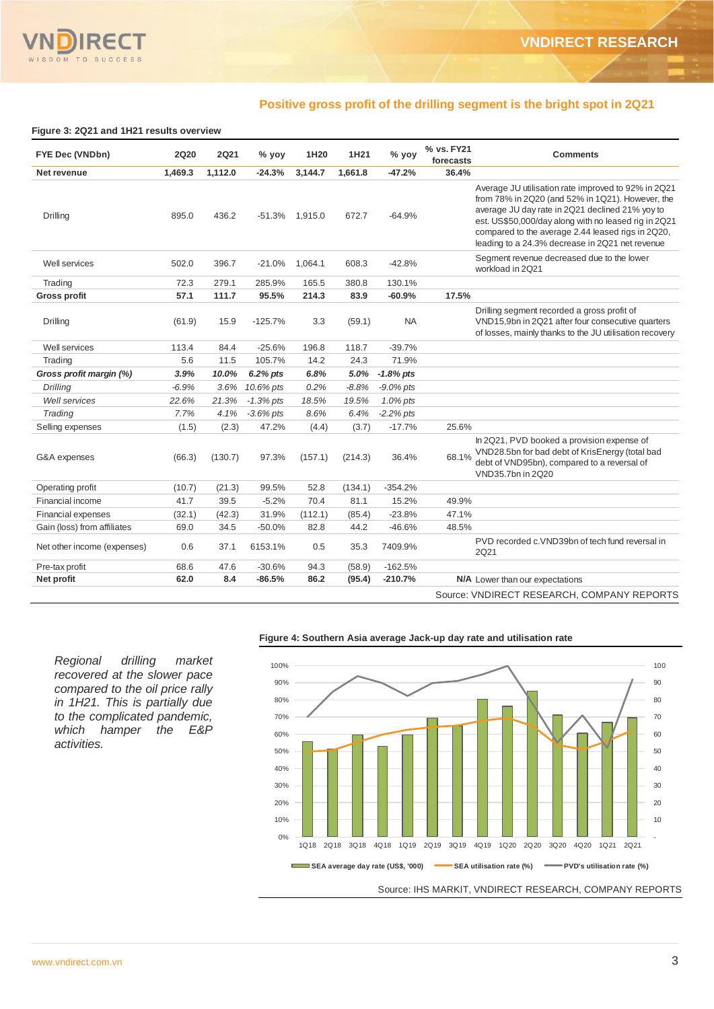#### **Positive gross profit of the drilling segment is the bright spot in 2Q21**

#### **Figure 3: 2Q21 and 1H21 results overview**

| FYE Dec (VNDbn)             | <b>2Q20</b> | <b>2Q21</b> | $%$ yoy      | 1H20    | 1H21    | % yoy        | % vs. FY21<br>forecasts | <b>Comments</b>                                                                                                                                                                                                                                                                                                            |
|-----------------------------|-------------|-------------|--------------|---------|---------|--------------|-------------------------|----------------------------------------------------------------------------------------------------------------------------------------------------------------------------------------------------------------------------------------------------------------------------------------------------------------------------|
| Net revenue                 | 1,469.3     | 1,112.0     | $-24.3%$     | 3,144.7 | 1,661.8 | $-47.2%$     | 36.4%                   |                                                                                                                                                                                                                                                                                                                            |
| Drilling                    | 895.0       | 436.2       | $-51.3%$     | 1,915.0 | 672.7   | $-64.9%$     |                         | Average JU utilisation rate improved to 92% in 2Q21<br>from 78% in 2Q20 (and 52% in 1Q21). However, the<br>average JU day rate in 2Q21 declined 21% yoy to<br>est. US\$50,000/day along with no leased rig in 2Q21<br>compared to the average 2.44 leased rigs in 2Q20,<br>leading to a 24.3% decrease in 2Q21 net revenue |
| Well services               | 502.0       | 396.7       | $-21.0%$     | 1,064.1 | 608.3   | $-42.8%$     |                         | Segment revenue decreased due to the lower<br>workload in 2Q21                                                                                                                                                                                                                                                             |
| Trading                     | 72.3        | 279.1       | 285.9%       | 165.5   | 380.8   | 130.1%       |                         |                                                                                                                                                                                                                                                                                                                            |
| <b>Gross profit</b>         | 57.1        | 111.7       | 95.5%        | 214.3   | 83.9    | $-60.9%$     | 17.5%                   |                                                                                                                                                                                                                                                                                                                            |
| Drilling                    | (61.9)      | 15.9        | $-125.7%$    | 3.3     | (59.1)  | <b>NA</b>    |                         | Drilling segment recorded a gross profit of<br>VND15,9bn in 2Q21 after four consecutive quarters<br>of losses, mainly thanks to the JU utilisation recovery                                                                                                                                                                |
| Well services               | 113.4       | 84.4        | $-25.6%$     | 196.8   | 118.7   | $-39.7%$     |                         |                                                                                                                                                                                                                                                                                                                            |
| Trading                     | 5.6         | 11.5        | 105.7%       | 14.2    | 24.3    | 71.9%        |                         |                                                                                                                                                                                                                                                                                                                            |
| Gross profit margin (%)     | 3.9%        | 10.0%       | 6.2% pts     | 6.8%    | 5.0%    | $-1.8%$ pts  |                         |                                                                                                                                                                                                                                                                                                                            |
| Drilling                    | $-6.9%$     | 3.6%        | 10.6% pts    | 0.2%    | $-8.8%$ | $-9.0\%$ pts |                         |                                                                                                                                                                                                                                                                                                                            |
| <b>Well services</b>        | 22.6%       | 21.3%       | $-1.3\%$ pts | 18.5%   | 19.5%   | $1.0\%$ pts  |                         |                                                                                                                                                                                                                                                                                                                            |
| Trading                     | 7.7%        | 4.1%        | $-3.6\%$ pts | 8.6%    | 6.4%    | $-2.2%$ pts  |                         |                                                                                                                                                                                                                                                                                                                            |
| Selling expenses            | (1.5)       | (2.3)       | 47.2%        | (4.4)   | (3.7)   | $-17.7%$     | 25.6%                   |                                                                                                                                                                                                                                                                                                                            |
| G&A expenses                | (66.3)      | (130.7)     | 97.3%        | (157.1) | (214.3) | 36.4%        | 68.1%                   | In 2Q21, PVD booked a provision expense of<br>VND28.5bn for bad debt of KrisEnergy (total bad<br>debt of VND95bn), compared to a reversal of<br>VND35.7bn in 2020                                                                                                                                                          |
| Operating profit            | (10.7)      | (21.3)      | 99.5%        | 52.8    | (134.1) | $-354.2%$    |                         |                                                                                                                                                                                                                                                                                                                            |
| Financial income            | 41.7        | 39.5        | $-5.2%$      | 70.4    | 81.1    | 15.2%        | 49.9%                   |                                                                                                                                                                                                                                                                                                                            |
| <b>Financial expenses</b>   | (32.1)      | (42.3)      | 31.9%        | (112.1) | (85.4)  | $-23.8%$     | 47.1%                   |                                                                                                                                                                                                                                                                                                                            |
| Gain (loss) from affiliates | 69.0        | 34.5        | $-50.0%$     | 82.8    | 44.2    | $-46.6%$     | 48.5%                   |                                                                                                                                                                                                                                                                                                                            |
| Net other income (expenses) | 0.6         | 37.1        | 6153.1%      | 0.5     | 35.3    | 7409.9%      |                         | PVD recorded c.VND39bn of tech fund reversal in<br><b>2Q21</b>                                                                                                                                                                                                                                                             |
| Pre-tax profit              | 68.6        | 47.6        | $-30.6%$     | 94.3    | (58.9)  | $-162.5%$    |                         |                                                                                                                                                                                                                                                                                                                            |
| Net profit                  | 62.0        | 8.4         | $-86.5%$     | 86.2    | (95.4)  | $-210.7%$    |                         | N/A Lower than our expectations                                                                                                                                                                                                                                                                                            |
|                             |             |             |              |         |         |              |                         | Source: VNDIRECT RESEARCH, COMPANY REPORTS                                                                                                                                                                                                                                                                                 |

*Regional drilling market recovered at the slower pace compared to the oil price rally in 1H21. This is partially due to the complicated pandemic, which hamper the E&P activities.*

#### **Figure 4: Southern Asia average Jack-up day rate and utilisation rate**

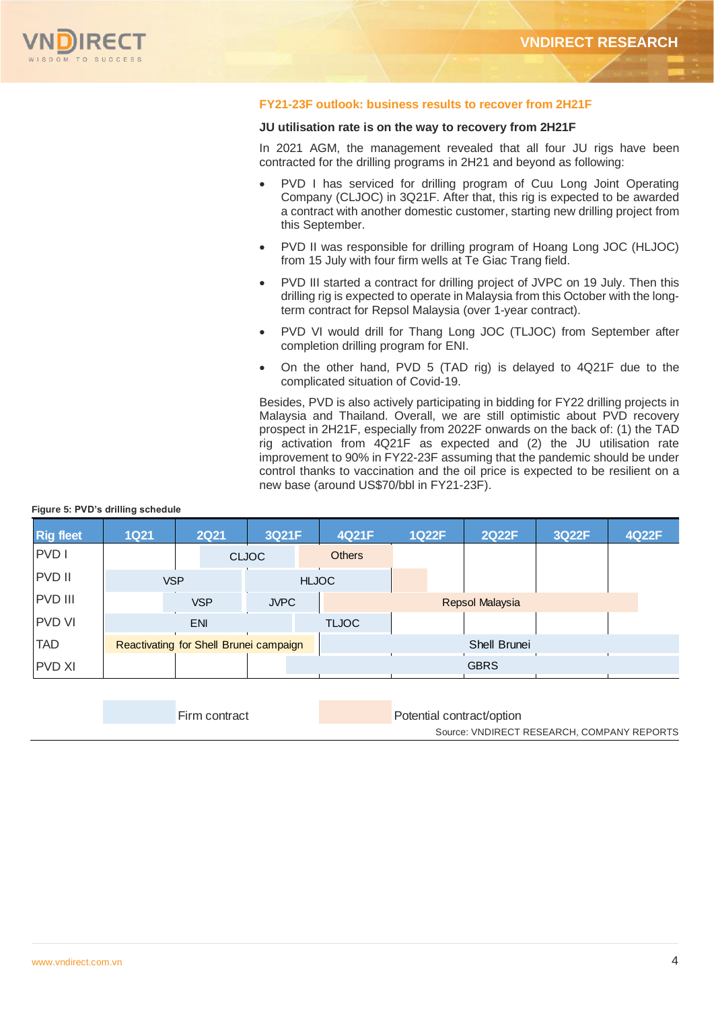

#### **FY21-23F outlook: business results to recover from 2H21F**

#### **JU utilisation rate is on the way to recovery from 2H21F**

In 2021 AGM, the management revealed that all four JU rigs have been contracted for the drilling programs in 2H21 and beyond as following:

- PVD I has serviced for drilling program of Cuu Long Joint Operating Company (CLJOC) in 3Q21F. After that, this rig is expected to be awarded a contract with another domestic customer, starting new drilling project from this September.
- PVD II was responsible for drilling program of Hoang Long JOC (HLJOC) from 15 July with four firm wells at Te Giac Trang field.
- PVD III started a contract for drilling project of JVPC on 19 July. Then this drilling rig is expected to operate in Malaysia from this October with the longterm contract for Repsol Malaysia (over 1-year contract).
- PVD VI would drill for Thang Long JOC (TLJOC) from September after completion drilling program for ENI.
- On the other hand, PVD 5 (TAD rig) is delayed to 4Q21F due to the complicated situation of Covid-19.

Besides, PVD is also actively participating in bidding for FY22 drilling projects in Malaysia and Thailand. Overall, we are still optimistic about PVD recovery prospect in 2H21F, especially from 2022F onwards on the back of: (1) the TAD rig activation from 4Q21F as expected and (2) the JU utilisation rate improvement to 90% in FY22-23F assuming that the pandemic should be under control thanks to vaccination and the oil price is expected to be resilient on a new base (around US\$70/bbl in FY21-23F).

#### **Figure 5: PVD's drilling schedule**

| <b>Rig fleet</b> | <b>1Q21</b>                            |            | <b>2Q21</b> | 3Q21F        |              | 4Q21F         | <b>1Q22F</b>    | <b>2Q22F</b> | 3Q22F | 4Q22F |
|------------------|----------------------------------------|------------|-------------|--------------|--------------|---------------|-----------------|--------------|-------|-------|
| PVD I            |                                        |            |             | <b>CLJOC</b> |              | <b>Others</b> |                 |              |       |       |
| <b>PVD II</b>    |                                        | <b>VSP</b> |             |              | <b>HLJOC</b> |               |                 |              |       |       |
| <b>PVD III</b>   |                                        |            | <b>VSP</b>  | <b>JVPC</b>  |              |               | Repsol Malaysia |              |       |       |
| <b>PVD VI</b>    |                                        |            | <b>ENI</b>  |              |              | <b>TLJOC</b>  |                 |              |       |       |
| <b>TAD</b>       | Reactivating for Shell Brunei campaign |            |             |              |              |               |                 | Shell Brunei |       |       |
| <b>PVD XI</b>    |                                        |            |             |              |              |               |                 | <b>GBRS</b>  |       |       |

| Firm contract | Potential contract/option                  |
|---------------|--------------------------------------------|
|               | Source: VNDIRECT RESEARCH, COMPANY REPORTS |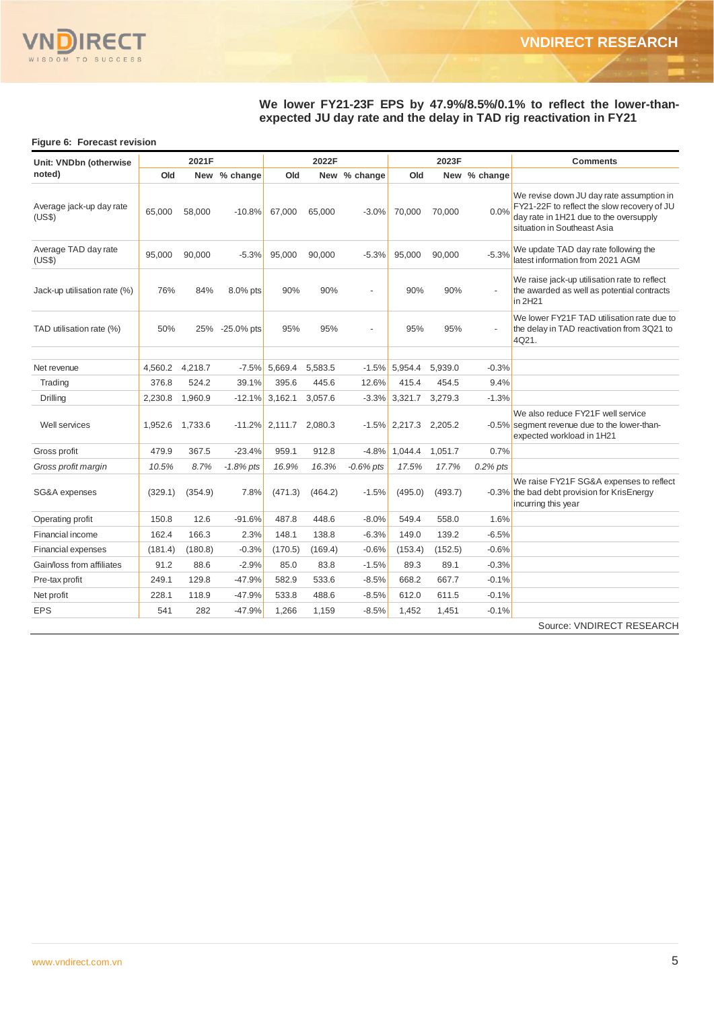

#### **We lower FY21-23F EPS by 47.9%/8.5%/0.1% to reflect the lower-thanexpected JU day rate and the delay in TAD rig reactivation in FY21**

#### **Figure 6: Forecast revision**

| Unit: VNDbn (otherwise             |         | 2021F   |                |         | 2022F   |                |                  | 2023F   |              | <b>Comments</b>                                                                                                                                                  |
|------------------------------------|---------|---------|----------------|---------|---------|----------------|------------------|---------|--------------|------------------------------------------------------------------------------------------------------------------------------------------------------------------|
| noted)                             | Old     |         | New % change   | Old     |         | New % change   | Old              |         | New % change |                                                                                                                                                                  |
| Average jack-up day rate<br>(US\$) | 65.000  | 58.000  | $-10.8%$       | 67.000  | 65.000  | $-3.0%$        | 70.000           | 70.000  | 0.0%         | We revise down JU day rate assumption in<br>FY21-22F to reflect the slow recovery of JU<br>day rate in 1H21 due to the oversupply<br>situation in Southeast Asia |
| Average TAD day rate<br>(US\$)     | 95,000  | 90,000  | $-5.3%$        | 95,000  | 90,000  | $-5.3%$        | 95,000           | 90,000  | $-5.3%$      | We update TAD day rate following the<br>latest information from 2021 AGM                                                                                         |
| Jack-up utilisation rate (%)       | 76%     | 84%     | 8.0% pts       | 90%     | 90%     | $\overline{a}$ | 90%              | 90%     | ÷            | We raise jack-up utilisation rate to reflect<br>the awarded as well as potential contracts<br>in 2H21                                                            |
| TAD utilisation rate (%)           | 50%     |         | 25% -25.0% pts | 95%     | 95%     | $\overline{a}$ | 95%              | 95%     | ÷,           | We lower FY21F TAD utilisation rate due to<br>the delay in TAD reactivation from 3Q21 to<br>4Q21.                                                                |
| Net revenue                        | 4,560.2 | 4,218.7 | $-7.5%$        | 5,669.4 | 5,583.5 | $-1.5%$        | 5,954.4          | 5,939.0 | $-0.3%$      |                                                                                                                                                                  |
| Trading                            | 376.8   | 524.2   | 39.1%          | 395.6   | 445.6   | 12.6%          | 415.4            | 454.5   | 9.4%         |                                                                                                                                                                  |
| Drilling                           | 2,230.8 | 1,960.9 | $-12.1%$       | 3,162.1 | 3,057.6 | $-3.3%$        | 3,321.7          | 3,279.3 | $-1.3%$      |                                                                                                                                                                  |
| Well services                      | 1,952.6 | 1,733.6 | $-11.2%$       | 2,111.7 | 2,080.3 |                | $-1.5\%$ 2,217.3 | 2.205.2 |              | We also reduce FY21F well service<br>-0.5% segment revenue due to the lower-than-<br>expected workload in 1H21                                                   |
| Gross profit                       | 479.9   | 367.5   | $-23.4%$       | 959.1   | 912.8   | $-4.8%$        | 1,044.4          | 1,051.7 | 0.7%         |                                                                                                                                                                  |
| Gross profit margin                | 10.5%   | 8.7%    | $-1.8\%$ pts   | 16.9%   | 16.3%   | $-0.6\%$ pts   | 17.5%            | 17.7%   | $0.2\%$ pts  |                                                                                                                                                                  |
| SG&A expenses                      | (329.1) | (354.9) | 7.8%           | (471.3) | (464.2) | $-1.5%$        | (495.0)          | (493.7) |              | We raise FY21F SG&A expenses to reflect<br>-0.3% the bad debt provision for KrisEnergy<br>incurring this year                                                    |
| Operating profit                   | 150.8   | 12.6    | $-91.6%$       | 487.8   | 448.6   | $-8.0%$        | 549.4            | 558.0   | 1.6%         |                                                                                                                                                                  |
| Financial income                   | 162.4   | 166.3   | 2.3%           | 148.1   | 138.8   | $-6.3%$        | 149.0            | 139.2   | $-6.5%$      |                                                                                                                                                                  |
| Financial expenses                 | (181.4) | (180.8) | $-0.3%$        | (170.5) | (169.4) | $-0.6%$        | (153.4)          | (152.5) | $-0.6%$      |                                                                                                                                                                  |
| Gain/loss from affiliates          | 91.2    | 88.6    | $-2.9%$        | 85.0    | 83.8    | $-1.5%$        | 89.3             | 89.1    | $-0.3%$      |                                                                                                                                                                  |
| Pre-tax profit                     | 249.1   | 129.8   | $-47.9%$       | 582.9   | 533.6   | $-8.5%$        | 668.2            | 667.7   | $-0.1%$      |                                                                                                                                                                  |
| Net profit                         | 228.1   | 118.9   | $-47.9%$       | 533.8   | 488.6   | $-8.5%$        | 612.0            | 611.5   | $-0.1%$      |                                                                                                                                                                  |
| <b>EPS</b>                         | 541     | 282     | $-47.9%$       | 1,266   | 1.159   | $-8.5%$        | 1.452            | 1.451   | $-0.1%$      |                                                                                                                                                                  |
|                                    |         |         |                |         |         |                |                  |         |              | Source: VNDIRECT RESEARCH                                                                                                                                        |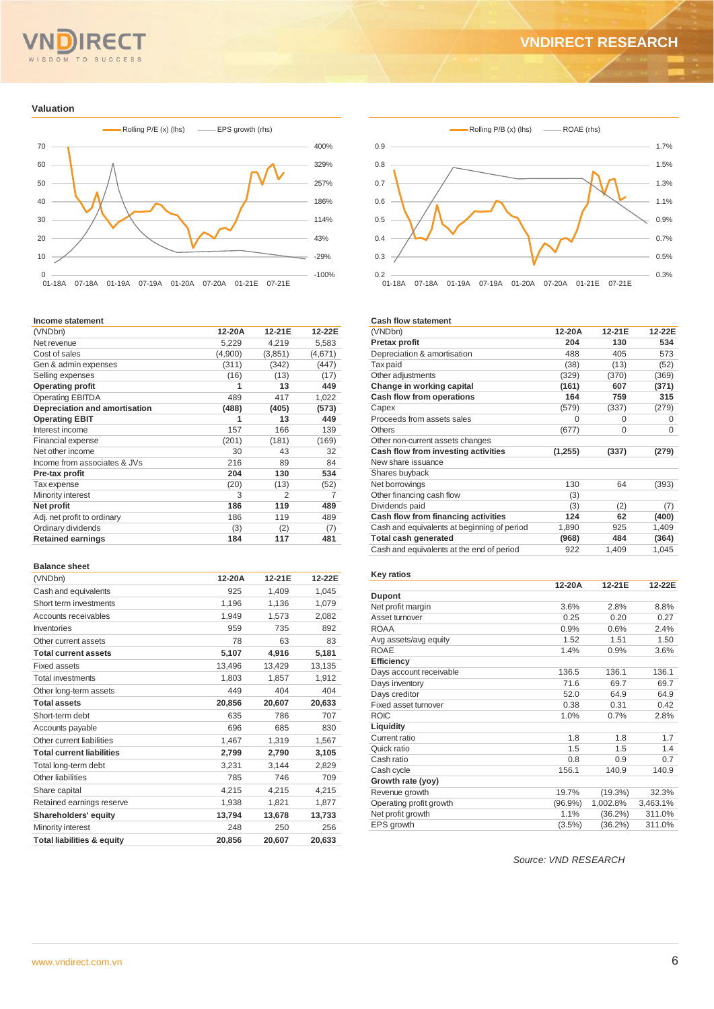## **SUCCESS** OM TO

### **VNDIRECT RESEARCH**

#### **Valuation**



#### **Income statement**

| (VNDbn)                       | 12-20A  | 12-21E  | 12-22E  |
|-------------------------------|---------|---------|---------|
| Net revenue                   | 5,229   | 4,219   | 5,583   |
| Cost of sales                 | (4,900) | (3,851) | (4,671) |
| Gen & admin expenses          | (311)   | (342)   | (447)   |
| Selling expenses              | (16)    | (13)    | (17)    |
| <b>Operating profit</b>       | 1       | 13      | 449     |
| <b>Operating EBITDA</b>       | 489     | 417     | 1,022   |
| Depreciation and amortisation | (488)   | (405)   | (573)   |
| <b>Operating EBIT</b>         | 1       | 13      | 449     |
| Interest income               | 157     | 166     | 139     |
| Financial expense             | (201)   | (181)   | (169)   |
| Net other income              | 30      | 43      | 32      |
| Income from associates & JVs  | 216     | 89      | 84      |
| Pre-tax profit                | 204     | 130     | 534     |
| Tax expense                   | (20)    | (13)    | (52)    |
| Minority interest             | 3       | 2       | 7       |
| Net profit                    | 186     | 119     | 489     |
| Adj. net profit to ordinary   | 186     | 119     | 489     |
| Ordinary dividends            | (3)     | (2)     | (7)     |
| <b>Retained earnings</b>      | 184     | 117     | 481     |

#### **Balance sheet**

| (VNDbn)                               | 12-20A | 12-21E | 12-22E |
|---------------------------------------|--------|--------|--------|
| Cash and equivalents                  | 925    | 1,409  | 1,045  |
| Short term investments                | 1,196  | 1,136  | 1,079  |
| Accounts receivables                  | 1,949  | 1,573  | 2,082  |
| Inventories                           | 959    | 735    | 892    |
| Other current assets                  | 78     | 63     | 83     |
| <b>Total current assets</b>           | 5,107  | 4,916  | 5,181  |
| <b>Fixed assets</b>                   | 13,496 | 13,429 | 13,135 |
| <b>Total investments</b>              | 1,803  | 1,857  | 1,912  |
| Other long-term assets                | 449    | 404    | 404    |
| <b>Total assets</b>                   | 20,856 | 20,607 | 20,633 |
| Short-term debt                       | 635    | 786    | 707    |
| Accounts payable                      | 696    | 685    | 830    |
| Other current liabilities             | 1,467  | 1,319  | 1,567  |
| <b>Total current liabilities</b>      | 2,799  | 2,790  | 3,105  |
| Total long-term debt                  | 3,231  | 3,144  | 2,829  |
| Other liabilities                     | 785    | 746    | 709    |
| Share capital                         | 4,215  | 4,215  | 4,215  |
| Retained earnings reserve             | 1,938  | 1,821  | 1,877  |
| Shareholders' equity                  | 13,794 | 13,678 | 13,733 |
| Minority interest                     | 248    | 250    | 256    |
| <b>Total liabilities &amp; equity</b> | 20,856 | 20,607 | 20,633 |



#### **Cash flow statement**

| (VNDbn)                                     | 12-20A   | 12-21E | 12-22E |
|---------------------------------------------|----------|--------|--------|
| Pretax profit                               | 204      | 130    | 534    |
| Depreciation & amortisation                 | 488      | 405    | 573    |
| Tax paid                                    | (38)     | (13)   | (52)   |
| Other adjustments                           | (329)    | (370)  | (369)  |
| Change in working capital                   | (161)    | 607    | (371)  |
| Cash flow from operations                   | 164      | 759    | 315    |
| Capex                                       | (579)    | (337)  | (279)  |
| Proceeds from assets sales                  | 0        | O      | 0      |
| Others                                      | (677)    | 0      | 0      |
| Other non-current assets changes            |          |        |        |
| Cash flow from investing activities         | (1, 255) | (337)  | (279)  |
| New share issuance                          |          |        |        |
| Shares buyback                              |          |        |        |
| Net borrowings                              | 130      | 64     | (393)  |
| Other financing cash flow                   | (3)      |        |        |
| Dividends paid                              | (3)      | (2)    | (7)    |
| Cash flow from financing activities         | 124      | 62     | (400)  |
| Cash and equivalents at beginning of period | 1,890    | 925    | 1,409  |
| <b>Total cash generated</b>                 | (968)    | 484    | (364)  |
| Cash and equivalents at the end of period   | 922      | 1,409  | 1,045  |

#### **Key ratios**

|                         | 12-20A     | 12-21E     | 12-22E   |
|-------------------------|------------|------------|----------|
| <b>Dupont</b>           |            |            |          |
| Net profit margin       | 3.6%       | 2.8%       | 8.8%     |
| Asset turnover          | 0.25       | 0.20       | 0.27     |
| <b>ROAA</b>             | 0.9%       | 0.6%       | 2.4%     |
| Avg assets/avg equity   | 1.52       | 1.51       | 1.50     |
| <b>ROAE</b>             | 1.4%       | 0.9%       | 3.6%     |
| Efficiency              |            |            |          |
| Days account receivable | 136.5      | 136.1      | 136.1    |
| Days inventory          | 71.6       | 69.7       | 69.7     |
| Days creditor           | 52.0       | 64.9       | 64.9     |
| Fixed asset turnover    | 0.38       | 0.31       | 0.42     |
| <b>ROIC</b>             | 1.0%       | 0.7%       | 2.8%     |
| Liquidity               |            |            |          |
| Current ratio           | 1.8        | 1.8        | 1.7      |
| Quick ratio             | 1.5        | 1.5        | 1.4      |
| Cash ratio              | 0.8        | 0.9        | 0.7      |
| Cash cycle              | 156.1      | 140.9      | 140.9    |
| Growth rate (yoy)       |            |            |          |
| Revenue growth          | 19.7%      | $(19.3\%)$ | 32.3%    |
| Operating profit growth | $(96.9\%)$ | 1,002.8%   | 3,463.1% |
| Net profit growth       | 1.1%       | (36.2%)    | 311.0%   |
| EPS growth              | $(3.5\%)$  | $(36.2\%)$ | 311.0%   |
|                         |            |            |          |

*Source: VND RESEARCH*